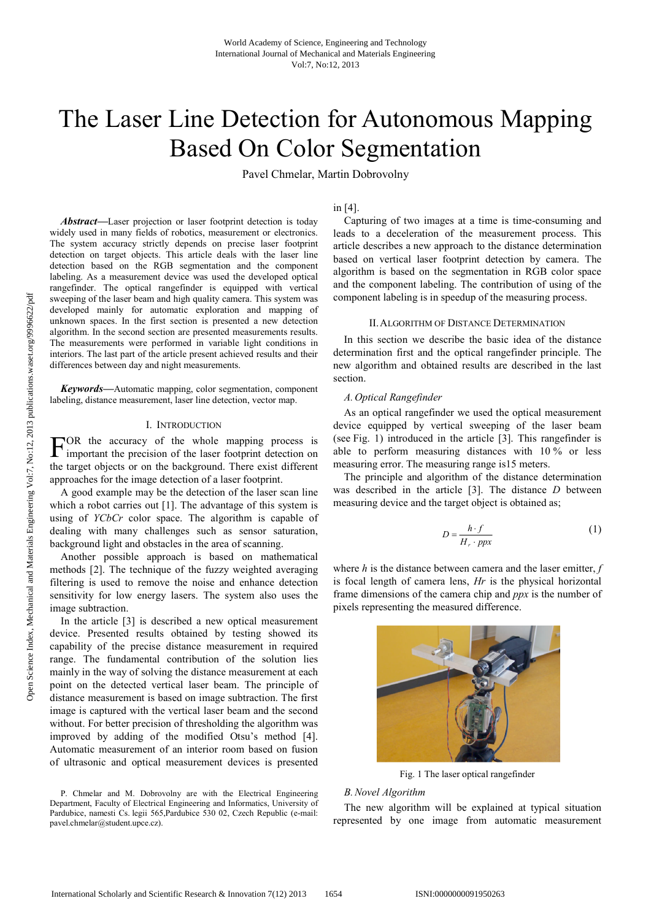# The Laser Line Detection for Autonomous Mapping Based On Color Segmentation

Pavel Chmelar, Martin Dobrovolny

*Abstract***—**Laser projection or laser footprint detection is today widely used in many fields of robotics, measurement or electronics. The system accuracy strictly depends on precise laser footprint detection on target objects. This article deals with the laser line detection based on the RGB segmentation and the component labeling. As a measurement device was used the developed optical rangefinder. The optical rangefinder is equipped with vertical sweeping of the laser beam and high quality camera. This system was developed mainly for automatic exploration and mapping of unknown spaces. In the first section is presented a new detection algorithm. In the second section are presented measurements results. The measurements were performed in variable light conditions in interiors. The last part of the article present achieved results and their differences between day and night measurements.

*Keywords***—**Automatic mapping, color segmentation, component labeling, distance measurement, laser line detection, vector map.

## I. INTRODUCTION

FOR the accuracy of the whole mapping process is<br>important the precision of the laser footprint detection on important the precision of the laser footprint detection on the target objects or on the background. There exist different approaches for the image detection of a laser footprint.

A good example may be the detection of the laser scan line which a robot carries out [1]. The advantage of this system is using of *YCbCr* color space. The algorithm is capable of dealing with many challenges such as sensor saturation, background light and obstacles in the area of scanning.

Another possible approach is based on mathematical methods [2]. The technique of the fuzzy weighted averaging filtering is used to remove the noise and enhance detection sensitivity for low energy lasers. The system also uses the image subtraction.

In the article [3] is described a new optical measurement device. Presented results obtained by testing showed its capability of the precise distance measurement in required range. The fundamental contribution of the solution lies mainly in the way of solving the distance measurement at each point on the detected vertical laser beam. The principle of distance measurement is based on image subtraction. The first image is captured with the vertical laser beam and the second without. For better precision of thresholding the algorithm was improved by adding of the modified Otsu's method [4]. Automatic measurement of an interior room based on fusion of ultrasonic and optical measurement devices is presented

## in [4].

Capturing of two images at a time is time-consuming and leads to a deceleration of the measurement process. This article describes a new approach to the distance determination based on vertical laser footprint detection by camera. The algorithm is based on the segmentation in RGB color space and the component labeling. The contribution of using of the component labeling is in speedup of the measuring process.

#### II.ALGORITHM OF DISTANCE DETERMINATION

In this section we describe the basic idea of the distance determination first and the optical rangefinder principle. The new algorithm and obtained results are described in the last section.

#### *A. Optical Rangefinder*

As an optical rangefinder we used the optical measurement device equipped by vertical sweeping of the laser beam (see Fig. 1) introduced in the article [3]. This rangefinder is able to perform measuring distances with 10 % or less measuring error. The measuring range is15 meters.

The principle and algorithm of the distance determination was described in the article [3]. The distance *D* between measuring device and the target object is obtained as;

$$
D = \frac{h \cdot f}{H_r \cdot ppx} \tag{1}
$$

where *h* is the distance between camera and the laser emitter, *f* is focal length of camera lens, *Hr* is the physical horizontal frame dimensions of the camera chip and *ppx* is the number of pixels representing the measured difference.



Fig. 1 The laser optical rangefinder

## *B.Novel Algorithm*

The new algorithm will be explained at typical situation represented by one image from automatic measurement

P. Chmelar and M. Dobrovolny are with the Electrical Engineering Department, Faculty of Electrical Engineering and Informatics, University of Pardubice, namesti Cs. legii 565,Pardubice 530 02, Czech Republic (e-mail: pavel.chmelar@student.upce.cz).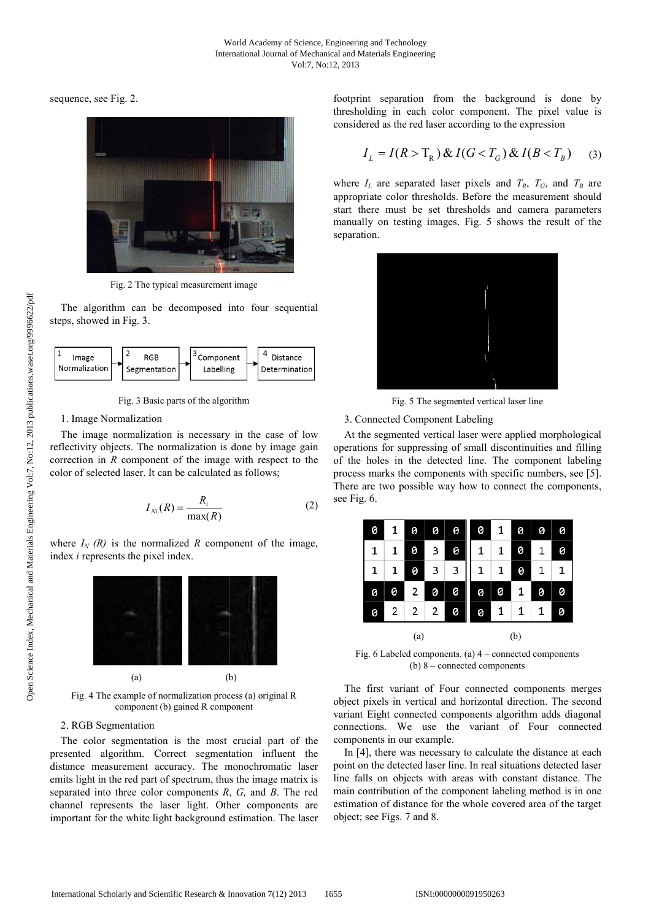sequence, see Fig. 2.



Fig. 2 The typical measurement image

The algorithm can be decomposed into four sequential steps, showed in Fig. 3.



Fig. 3 Basic parts of the algorithm

#### 1. Image Normalization

The image normalization is necessary in the case of low reflectivity objects. The normalization is done by image gain correction in  *component of the image with respect to the* color of selected laser. It can be calculated as follows;

$$
I_{Ni}(R) = \frac{R_i}{\max(R)}\tag{2}
$$

where  $I_N$   $(R)$  is the normalized  $R$  component of the image, index *i* represents the pixel index.



Fig. 4 The example of normalization process (a) original R component (b) gained R component

# 2. RGB Segmentation

The color segmentation is the most crucial part of the presented algorithm. Correct segmentation influent the The color segmentation is the most crucial part of the presented algorithm. Correct segmentation influent the distance measurement accuracy. The monochromatic laser emits light in the red part of spectrum, thus the image matrix is separated into three color components *R*, *G,* and *B*. The red channel represents the laser light. Other components are channel represents the laser light. Other components are important for the white light background estimation. The laser footprint separation from the background is done by thresholding in each color component. The pixel value is considered as the red laser according to the expression

$$
I_L = I(R > T_R) \& I(G < T_G) \& I(B < T_B) \tag{3}
$$

where  $I_L$  are separated laser pixels and  $T_R$ ,  $T_G$ , and  $T_B$  are appropriate color thresholds. Before the measurement should start there must be set thresholds and camera parameters manually on testing images. Fig. 5 shows the result of the separation.



Fig. 5 The segmented vertical laser line

## 3. Connected Component Labeling

At the segmented vertical laser were applied morphological operations for suppressing of small discontinuities and filling operations for suppressing of small discontinuities and filling<br>of the holes in the detected line. The component labeling process marks the components with specific numbers, see [5]. process marks the components with specific numbers, see [5]. There are two possible way how to connect the components, see Fig. 6.



Fig. 6 Labeled components. (a) 4 – connected components  $(b) 8$  – connected components

The first variant of Four connected components merges object pixels in vertical and horizontal direction. The second variant Eight connected components algorithm adds diagonal connections. We use the variant of Four connected components in our example.

In [4], there was necessary to calculate the distance at each In [4], there was necessary to calculate the distance at each point on the detected laser line. In real situations detected laser line falls on objects with areas with constant distance. The main contribution of the component labeling method is in one estimation of distance for the whole covered area of the target object; see Figs. 7 and 8.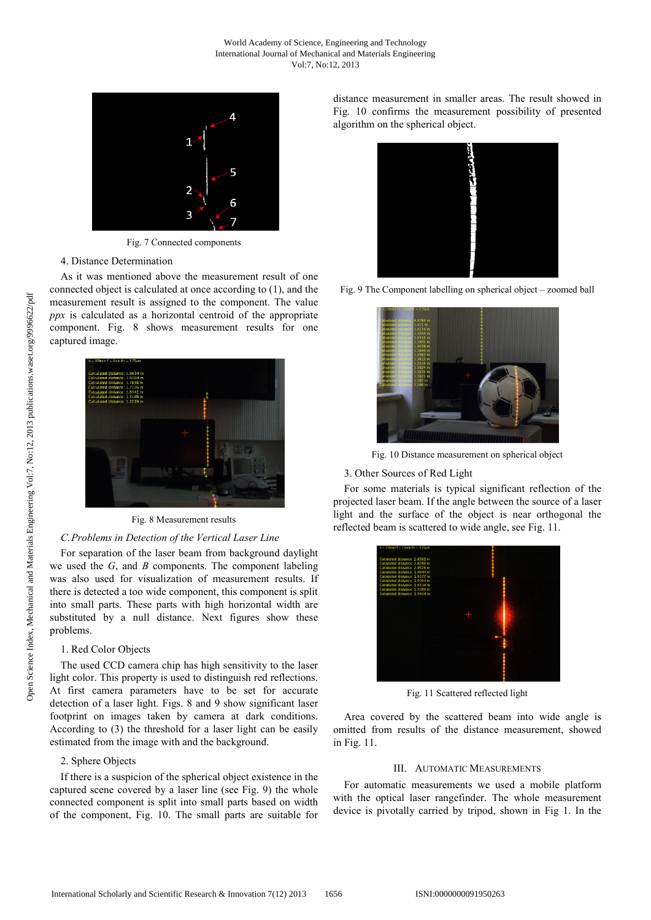

Fig. 7 Connected components

#### 4. Distance Determination

As it was mentioned above the measurement result of one connected object is calculated at once according to (1), and the measurement result is assigned to the component. The value *ppx* is calculated as a horizontal centroid of the appropriate component. Fig. 8 shows measurement results for one captured image.



Fig. 8 Measurement results

## *C.Problems in Detection of the Vertical Laser Line*

For separation of the laser beam from background daylight we used the *G*, and *B* components. The component labeling was also used for visualization of measurement results. If there is detected a too wide component, this component is split into small parts. These parts with high horizontal width are substituted by a null distance. Next figures show these problems.

## 1. Red Color Objects

The used CCD camera chip has high sensitivity to the laser light color. This property is used to distinguish red reflections. At first camera parameters have to be set for accurate detection of a laser light. Figs. 8 and 9 show significant laser footprint on images taken by camera at dark conditions. According to (3) the threshold for a laser light can be easily estimated from the image with and the background.

## 2. Sphere Objects

If there is a suspicion of the spherical object existence in the captured scene covered by a laser line (see Fig. 9) the whole connected component is split into small parts based on width of the component, Fig. 10. The small parts are suitable for distance measurement in smaller areas. The result showed in Fig. 10 confirms the measurement possibility of presented algorithm on the spherical object.



Fig. 9 The Component labelling on spherical object – zoomed ball



Fig. 10 Distance measurement on spherical object

## 3. Other Sources of Red Light

For some materials is typical significant reflection of the projected laser beam. If the angle between the source of a laser light and the surface of the object is near orthogonal the reflected beam is scattered to wide angle, see Fig. 11.



Fig. 11 Scattered reflected light

Area covered by the scattered beam into wide angle is omitted from results of the distance measurement, showed in Fig. 11.

#### III. AUTOMATIC MEASUREMENTS

For automatic measurements we used a mobile platform with the optical laser rangefinder. The whole measurement device is pivotally carried by tripod, shown in Fig 1. In the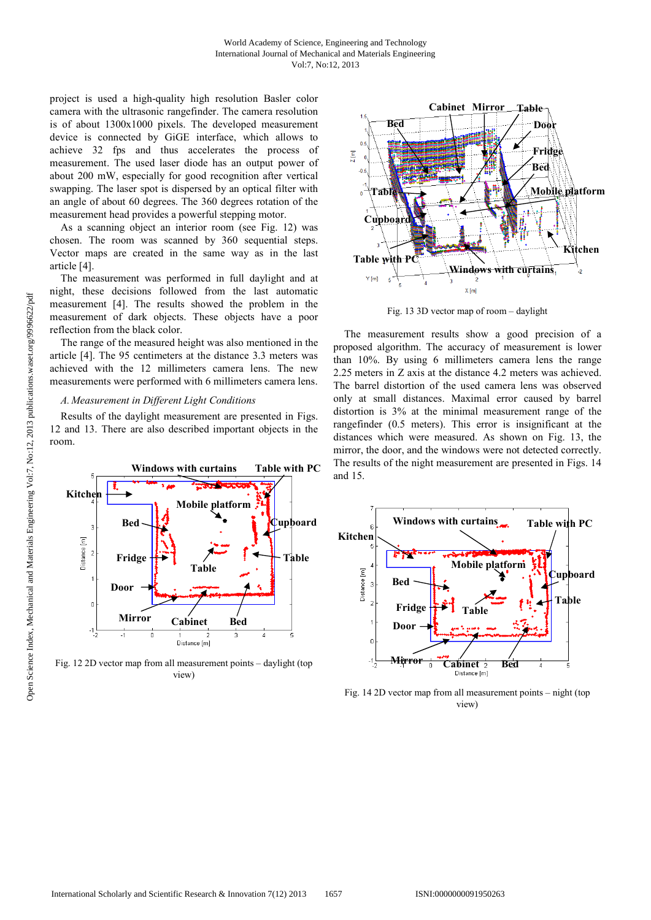project is used a high-quality high resolution Basler color camera with the ultrasonic rangefinder. The camera resolution is of about 1300x1000 pixels. The developed measurement device is connected by GiGE interface, which allows to achieve 32 fps and thus accelerates the process of measurement. The used laser diode has an output power of about 200 mW, especially for good recognition after vertical swapping. The laser spot is dispersed by an optical filter with an angle of about 60 degrees. The 360 degrees rotation of the measurement head provides a powerful stepping motor.

As a scanning object an interior room (see Fig. 12) was chosen. The room was scanned by 360 sequential steps. Vector maps are created in the same way as in the last article [4].

The measurement was performed in full daylight and at night, these decisions followed from the last automatic measurement [4]. The results showed the problem in the measurement of dark objects. These objects have a poor reflection from the black color.

The range of the measured height was also mentioned in the article [4]. The 95 centimeters at the distance 3.3 meters was achieved with the 12 millimeters camera lens. The new measurements were performed with 6 millimeters camera lens.

#### *A. Measurement in Different Light Conditions*

Results of the daylight measurement are presented in Figs. 12 and 13. There are also described important objects in the room.



Fig. 12 2D vector map from all measurement points – daylight (top view)



Fig. 13 3D vector map of room – daylight

The measurement results show a good precision of a proposed algorithm. The accuracy of measurement is lower than 10%. By using 6 millimeters camera lens the range 2.25 meters in Z axis at the distance 4.2 meters was achieved. The barrel distortion of the used camera lens was observed only at small distances. Maximal error caused by barrel distortion is 3% at the minimal measurement range of the rangefinder (0.5 meters). This error is insignificant at the distances which were measured. As shown on Fig. 13, the mirror, the door, and the windows were not detected correctly. The results of the night measurement are presented in Figs. 14 and 15.



Fig. 14 2D vector map from all measurement points – night (top view)